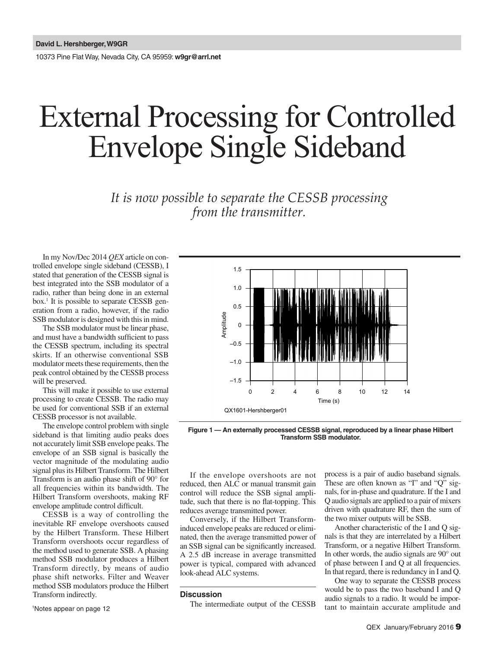10373 Pine Flat Way, Nevada City, CA 95959: **w9gr@arrl.net**

# External Processing for Controlled Envelope Single Sideband

*It is now possible to separate the CESSB processing from the transmitter.* 

In my Nov/Dec 2014 *QEX* article on controlled envelope single sideband (CESSB), I stated that generation of the CESSB signal is best integrated into the SSB modulator of a radio, rather than being done in an external box.1 It is possible to separate CESSB generation from a radio, however, if the radio SSB modulator is designed with this in mind.

The SSB modulator must be linear phase, and must have a bandwidth sufficient to pass the CESSB spectrum, including its spectral skirts. If an otherwise conventional SSB modulator meets these requirements, then the peak control obtained by the CESSB process will be preserved.

This will make it possible to use external processing to create CESSB. The radio may be used for conventional SSB if an external CESSB processor is not available.

The envelope control problem with single sideband is that limiting audio peaks does not accurately limit SSB envelope peaks. The envelope of an SSB signal is basically the vector magnitude of the modulating audio signal plus its Hilbert Transform. The Hilbert Transform is an audio phase shift of 90° for all frequencies within its bandwidth. The Hilbert Transform overshoots, making RF envelope amplitude control difficult.

CESSB is a way of controlling the inevitable RF envelope overshoots caused by the Hilbert Transform. These Hilbert Transform overshoots occur regardless of the method used to generate SSB. A phasing method SSB modulator produces a Hilbert Transform directly, by means of audio phase shift networks. Filter and Weaver method SSB modulators produce the Hilbert Transform indirectly.

1 Notes appear on page 12



**Figure 1 — An externally processed CESSB signal, reproduced by a linear phase Hilbert Transform SSB modulator.**

If the envelope overshoots are not reduced, then ALC or manual transmit gain control will reduce the SSB signal amplitude, such that there is no flat-topping. This reduces average transmitted power.

Conversely, if the Hilbert Transforminduced envelope peaks are reduced or eliminated, then the average transmitted power of an SSB signal can be significantly increased. A 2.5 dB increase in average transmitted power is typical, compared with advanced look-ahead ALC systems.

## **Discussion**

The intermediate output of the CESSB

process is a pair of audio baseband signals. These are often known as "I" and "Q" signals, for in-phase and quadrature. If the I and Q audio signals are applied to a pair of mixers driven with quadrature RF, then the sum of the two mixer outputs will be SSB.

Another characteristic of the I and Q signals is that they are interrelated by a Hilbert Transform, or a negative Hilbert Transform. In other words, the audio signals are 90° out of phase between I and Q at all frequencies. In that regard, there is redundancy in I and Q.

One way to separate the CESSB process would be to pass the two baseband I and Q audio signals to a radio. It would be important to maintain accurate amplitude and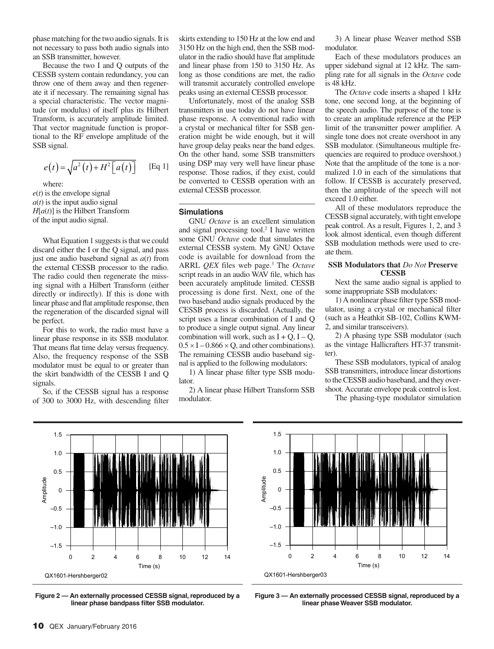phase matching for the two audio signals. It is not necessary to pass both audio signals into an SSB transmitter, however.

Because the two I and Q outputs of the CESSB system contain redundancy, you can throw one of them away and then regenerate it if necessary. The remaining signal has a special characteristic. The vector magnitude (or modulus) of itself plus its Hilbert Transform, is accurately amplitude limited. That vector magnitude function is proportional to the RF envelope amplitude of the SSB signal.

$$
e(t) = \sqrt{a^2(t) + H^2[a(t)]}
$$
 [Eq 1]

where:  $e(t)$  is the envelope signal  $a(t)$  is the input audio signal  $H[a(t)]$  is the Hilbert Transform

of the input audio signal.

What Equation 1 suggests is that we could discard either the I or the Q signal, and pass just one audio baseband signal as *a*(*t*) from the external CESSB processor to the radio. The radio could then regenerate the missing signal with a Hilbert Transform (either directly or indirectly). If this is done with linear phase and flat amplitude response, then the regeneration of the discarded signal will be perfect.

For this to work, the radio must have a linear phase response in its SSB modulator. That means flat time delay versus frequency. Also, the frequency response of the SSB modulator must be equal to or greater than the skirt bandwidth of the CESSB I and Q signals.

So, if the CESSB signal has a response of 300 to 3000 Hz, with descending filter skirts extending to 150 Hz at the low end and 3150 Hz on the high end, then the SSB modulator in the radio should have flat amplitude and linear phase from 150 to 3150 Hz. As long as those conditions are met, the radio will transmit accurately controlled envelope peaks using an external CESSB processor.

Unfortunately, most of the analog SSB transmitters in use today do not have linear phase response. A conventional radio with a crystal or mechanical filter for SSB generation might be wide enough, but it will have group delay peaks near the band edges. On the other hand, some SSB transmitters using DSP may very well have linear phase response. Those radios, if they exist, could be converted to CESSB operation with an external CESSB processor.

### **Simulations**

GNU *Octave* is an excellent simulation and signal processing tool.<sup>2</sup> I have written some GNU *Octave* code that simulates the external CESSB system. My GNU Octave code is available for download from the ARRL *QEX* files web page.<sup>3</sup> The *Octave* script reads in an audio WAV file, which has been accurately amplitude limited. CESSB processing is done first. Next, one of the two baseband audio signals produced by the CESSB process is discarded. (Actually, the script uses a linear combination of I and Q to produce a single output signal. Any linear combination will work, such as  $I + Q$ ,  $I - Q$ ,  $0.5 \times I - 0.866 \times Q$ , and other combinations). The remaining CESSB audio baseband signal is applied to the following modulators:

1) A linear phase filter type SSB modulator.

2) A linear phase Hilbert Transform SSB modulator.

3) A linear phase Weaver method SSB modulator.

Each of these modulators produces an upper sideband signal at 12 kHz. The sampling rate for all signals in the *Octave* code is 48 kHz.

The *Octave* code inserts a shaped 1 kHz tone, one second long, at the beginning of the speech audio. The purpose of the tone is to create an amplitude reference at the PEP limit of the transmitter power amplifier. A single tone does not create overshoot in any SSB modulator. (Simultaneous multiple frequencies are required to produce overshoot.) Note that the amplitude of the tone is a normalized 1.0 in each of the simulations that follow. If CESSB is accurately preserved, then the amplitude of the speech will not exceed 1.0 either.

All of these modulators reproduce the CESSB signal accurately, with tight envelope peak control. As a result, Figures 1, 2, and 3 look almost identical, even though different SSB modulation methods were used to create them.

## **SSB Modulators that** *Do Not* **Preserve CESSB**

Next the same audio signal is applied to some inappropriate SSB modulators:

1) A nonlinear phase filter type SSB modulator, using a crystal or mechanical filter (such as a Heathkit SB-102, Collins KWM-2, and similar transceivers).

2) A phasing type SSB modulator (such as the vintage Hallicrafters HT-37 transmitter).

These SSB modulators, typical of analog SSB transmitters, introduce linear distortions to the CESSB audio baseband, and they overshoot. Accurate envelope peak control is lost.

The phasing-type modulator simulation



**Figure 2 — An externally processed CESSB signal, reproduced by a linear phase bandpass filter SSB modulator.**



**Figure 3 — An externally processed CESSB signal, reproduced by a linear phase Weaver SSB modulator.**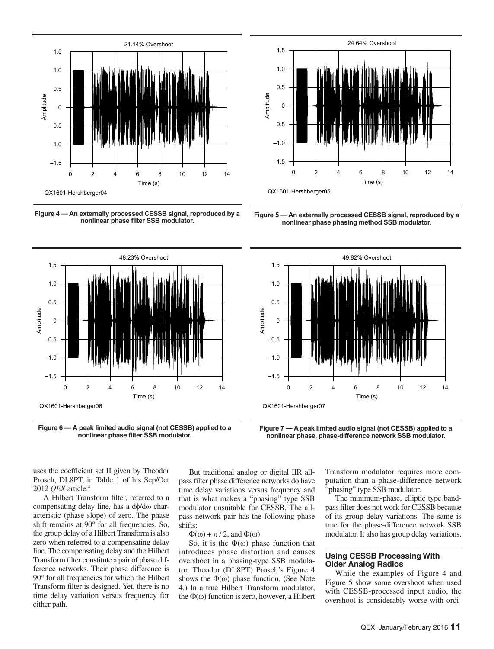

**Figure 4 — An externally processed CESSB signal, reproduced by a** 



**Figure 6 — A peak limited audio signal (not CESSB) applied to a nonlinear phase filter SSB modulator.**



Figure 5 - An externally processed CESSB signal, reproduced by a **nonlinear phase phasing method SSB modulator.**



**Figure 7 — A peak limited audio signal (not CESSB) applied to a nonlinear phase, phase-difference network SSB modulator.**

uses the coefficient set II given by Theodor Prosch, DL8PT, in Table 1 of his Sep/Oct 2012 *QEX* article.4

A Hilbert Transform filter, referred to a compensating delay line, has a dφ/dω characteristic (phase slope) of zero. The phase shift remains at 90° for all frequencies. So, the group delay of a Hilbert Transform is also zero when referred to a compensating delay line. The compensating delay and the Hilbert Transform filter constitute a pair of phase difference networks. Their phase difference is 90° for all frequencies for which the Hilbert Transform filter is designed. Yet, there is no time delay variation versus frequency for either path.

But traditional analog or digital IIR allpass filter phase difference networks do have time delay variations versus frequency and that is what makes a "phasing" type SSB modulator unsuitable for CESSB. The allpass network pair has the following phase shifts:

 $\Phi(\omega) + \pi / 2$ , and  $\Phi(\omega)$ 

So, it is the  $\Phi(\omega)$  phase function that introduces phase distortion and causes overshoot in a phasing-type SSB modulator. Theodor (DL8PT) Prosch's Figure 4 shows the  $\Phi(\omega)$  phase function. (See Note 4.) In a true Hilbert Transform modulator, the  $\Phi(\omega)$  function is zero, however, a Hilbert Transform modulator requires more computation than a phase-difference network "phasing" type SSB modulator.

The minimum-phase, elliptic type bandpass filter does not work for CESSB because of its group delay variations. The same is true for the phase-difference network SSB modulator. It also has group delay variations.

# **Using CESSB Processing With Older Analog Radios**

While the examples of Figure 4 and Figure 5 show some overshoot when used with CESSB-processed input audio, the overshoot is considerably worse with ordi